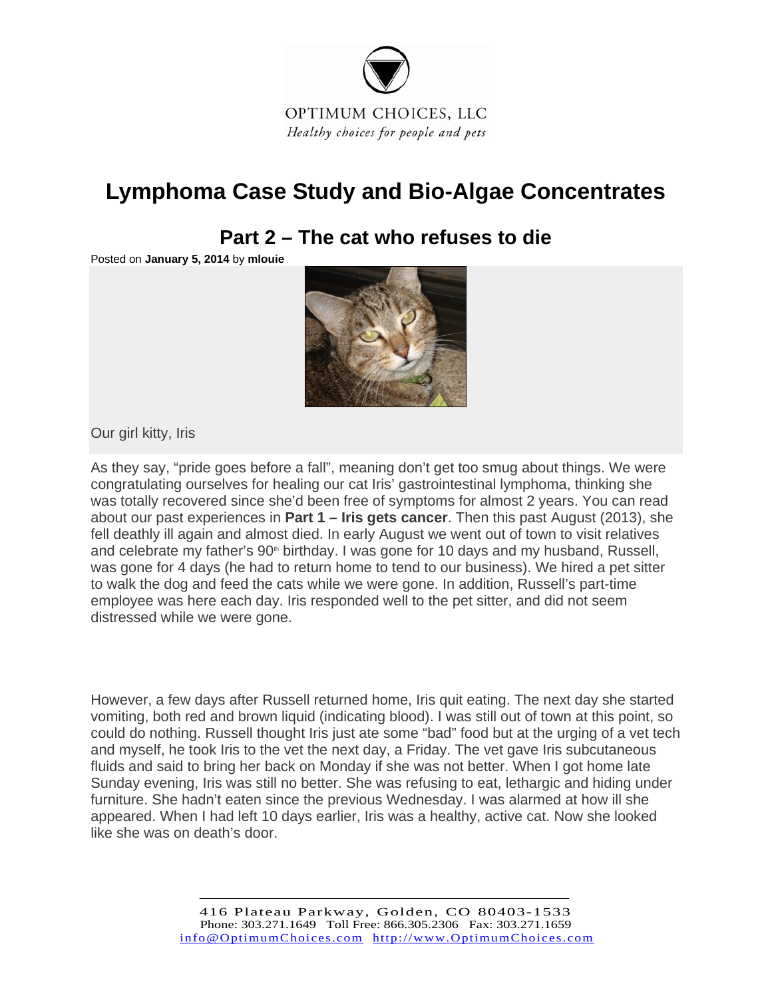

## **Lymphoma Case Study and Bio-Algae Concentrates**

## **Part 2 – The cat who refuses to die**

Posted on **January 5, 2014** by **mlouie**



Our girl kitty, Iris

As they say, "pride goes before a fall", meaning don't get too smug about things. We were congratulating ourselves for healing our cat Iris' gastrointestinal lymphoma, thinking she was totally recovered since she'd been free of symptoms for almost 2 years. You can read about our past experiences in **Part 1 – Iris gets cancer**. Then this past August (2013), she fell deathly ill again and almost died. In early August we went out of town to visit relatives and celebrate my father's  $90<sup>th</sup>$  birthday. I was gone for 10 days and my husband, Russell, was gone for 4 days (he had to return home to tend to our business). We hired a pet sitter to walk the dog and feed the cats while we were gone. In addition, Russell's part-time employee was here each day. Iris responded well to the pet sitter, and did not seem distressed while we were gone.

However, a few days after Russell returned home, Iris quit eating. The next day she started vomiting, both red and brown liquid (indicating blood). I was still out of town at this point, so could do nothing. Russell thought Iris just ate some "bad" food but at the urging of a vet tech and myself, he took Iris to the vet the next day, a Friday. The vet gave Iris subcutaneous fluids and said to bring her back on Monday if she was not better. When I got home late Sunday evening, Iris was still no better. She was refusing to eat, lethargic and hiding under furniture. She hadn't eaten since the previous Wednesday. I was alarmed at how ill she appeared. When I had left 10 days earlier, Iris was a healthy, active cat. Now she looked like she was on death's door.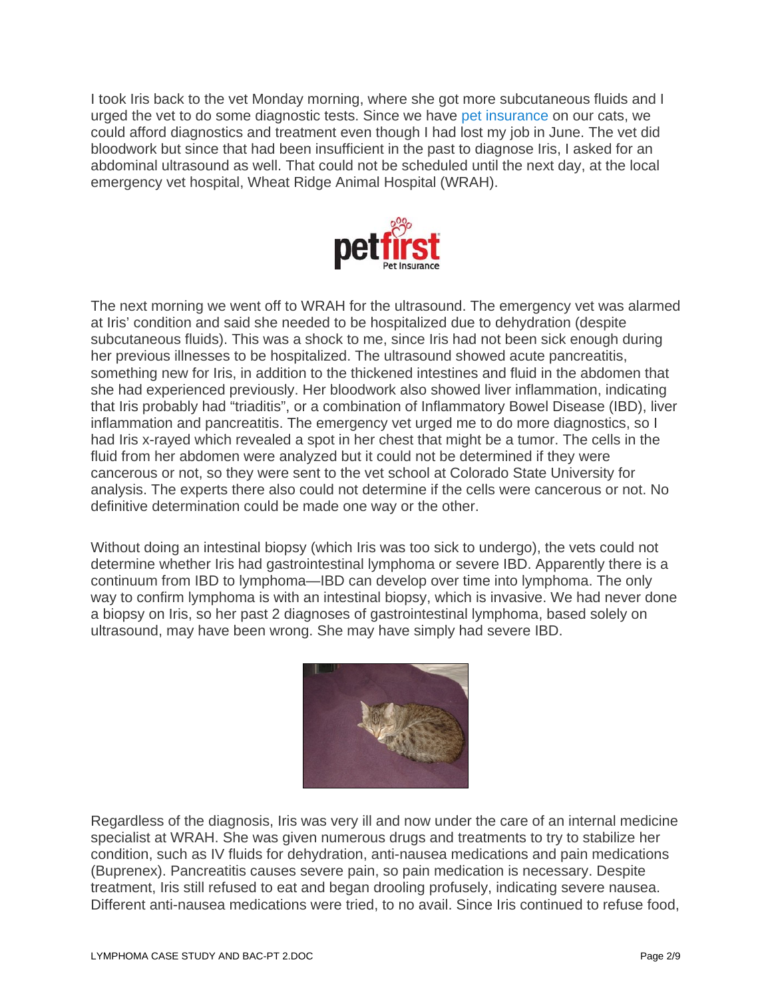I took Iris back to the vet Monday morning, where she got more subcutaneous fluids and I urged the vet to do some diagnostic tests. Since we have pet insurance on our cats, we could afford diagnostics and treatment even though I had lost my job in June. The vet did bloodwork but since that had been insufficient in the past to diagnose Iris, I asked for an abdominal ultrasound as well. That could not be scheduled until the next day, at the local emergency vet hospital, Wheat Ridge Animal Hospital (WRAH).



The next morning we went off to WRAH for the ultrasound. The emergency vet was alarmed at Iris' condition and said she needed to be hospitalized due to dehydration (despite subcutaneous fluids). This was a shock to me, since Iris had not been sick enough during her previous illnesses to be hospitalized. The ultrasound showed acute pancreatitis, something new for Iris, in addition to the thickened intestines and fluid in the abdomen that she had experienced previously. Her bloodwork also showed liver inflammation, indicating that Iris probably had "triaditis", or a combination of Inflammatory Bowel Disease (IBD), liver inflammation and pancreatitis. The emergency vet urged me to do more diagnostics, so I had Iris x-rayed which revealed a spot in her chest that might be a tumor. The cells in the fluid from her abdomen were analyzed but it could not be determined if they were cancerous or not, so they were sent to the vet school at Colorado State University for analysis. The experts there also could not determine if the cells were cancerous or not. No definitive determination could be made one way or the other.

Without doing an intestinal biopsy (which Iris was too sick to undergo), the vets could not determine whether Iris had gastrointestinal lymphoma or severe IBD. Apparently there is a continuum from IBD to lymphoma—IBD can develop over time into lymphoma. The only way to confirm lymphoma is with an intestinal biopsy, which is invasive. We had never done a biopsy on Iris, so her past 2 diagnoses of gastrointestinal lymphoma, based solely on ultrasound, may have been wrong. She may have simply had severe IBD.



Regardless of the diagnosis, Iris was very ill and now under the care of an internal medicine specialist at WRAH. She was given numerous drugs and treatments to try to stabilize her condition, such as IV fluids for dehydration, anti-nausea medications and pain medications (Buprenex). Pancreatitis causes severe pain, so pain medication is necessary. Despite treatment, Iris still refused to eat and began drooling profusely, indicating severe nausea. Different anti-nausea medications were tried, to no avail. Since Iris continued to refuse food,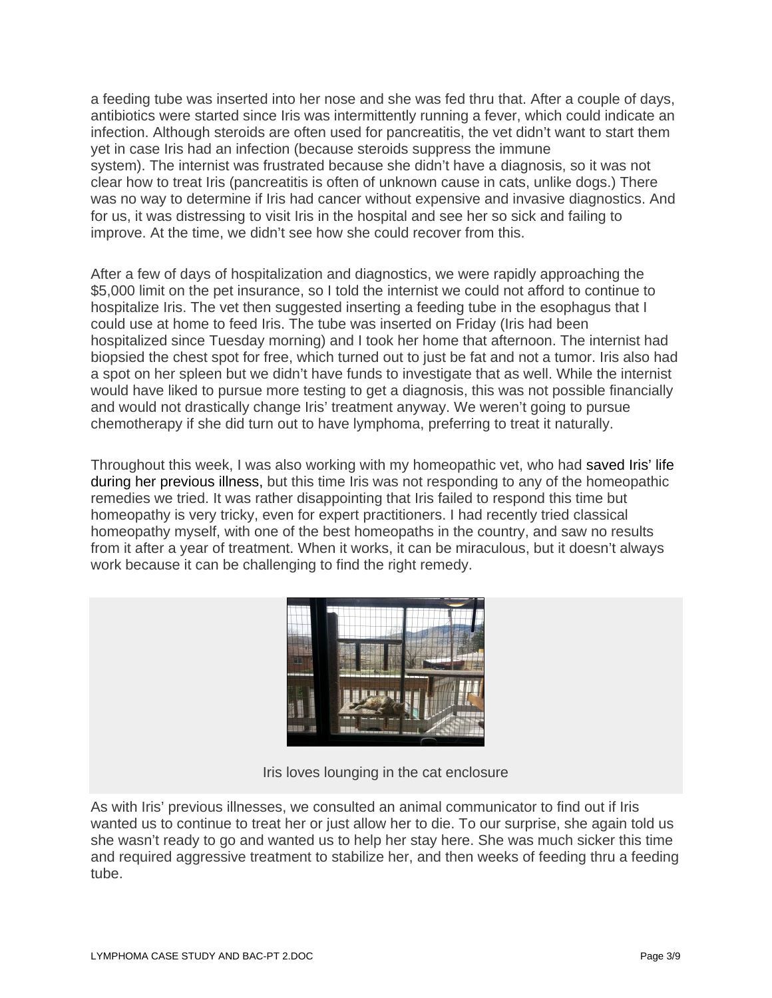a feeding tube was inserted into her nose and she was fed thru that. After a couple of days, antibiotics were started since Iris was intermittently running a fever, which could indicate an infection. Although steroids are often used for pancreatitis, the vet didn't want to start them yet in case Iris had an infection (because steroids suppress the immune system). The internist was frustrated because she didn't have a diagnosis, so it was not clear how to treat Iris (pancreatitis is often of unknown cause in cats, unlike dogs.) There was no way to determine if Iris had cancer without expensive and invasive diagnostics. And for us, it was distressing to visit Iris in the hospital and see her so sick and failing to improve. At the time, we didn't see how she could recover from this.

After a few of days of hospitalization and diagnostics, we were rapidly approaching the \$5,000 limit on the pet insurance, so I told the internist we could not afford to continue to hospitalize Iris. The vet then suggested inserting a feeding tube in the esophagus that I could use at home to feed Iris. The tube was inserted on Friday (Iris had been hospitalized since Tuesday morning) and I took her home that afternoon. The internist had biopsied the chest spot for free, which turned out to just be fat and not a tumor. Iris also had a spot on her spleen but we didn't have funds to investigate that as well. While the internist would have liked to pursue more testing to get a diagnosis, this was not possible financially and would not drastically change Iris' treatment anyway. We weren't going to pursue chemotherapy if she did turn out to have lymphoma, preferring to treat it naturally.

Throughout this week, I was also working with my homeopathic vet, who had saved Iris' life during her previous illness, but this time Iris was not responding to any of the homeopathic remedies we tried. It was rather disappointing that Iris failed to respond this time but homeopathy is very tricky, even for expert practitioners. I had recently tried classical homeopathy myself, with one of the best homeopaths in the country, and saw no results from it after a year of treatment. When it works, it can be miraculous, but it doesn't always work because it can be challenging to find the right remedy.



Iris loves lounging in the cat enclosure

As with Iris' previous illnesses, we consulted an animal communicator to find out if Iris wanted us to continue to treat her or just allow her to die. To our surprise, she again told us she wasn't ready to go and wanted us to help her stay here. She was much sicker this time and required aggressive treatment to stabilize her, and then weeks of feeding thru a feeding tube.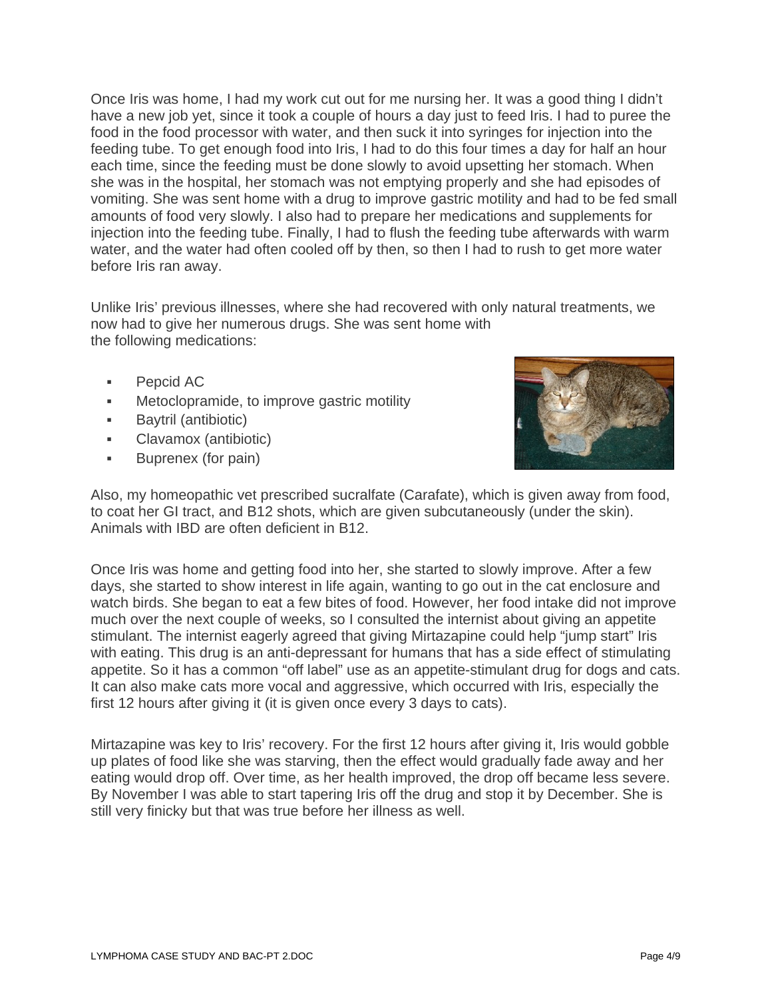Once Iris was home, I had my work cut out for me nursing her. It was a good thing I didn't have a new job yet, since it took a couple of hours a day just to feed Iris. I had to puree the food in the food processor with water, and then suck it into syringes for injection into the feeding tube. To get enough food into Iris, I had to do this four times a day for half an hour each time, since the feeding must be done slowly to avoid upsetting her stomach. When she was in the hospital, her stomach was not emptying properly and she had episodes of vomiting. She was sent home with a drug to improve gastric motility and had to be fed small amounts of food very slowly. I also had to prepare her medications and supplements for injection into the feeding tube. Finally, I had to flush the feeding tube afterwards with warm water, and the water had often cooled off by then, so then I had to rush to get more water before Iris ran away.

Unlike Iris' previous illnesses, where she had recovered with only natural treatments, we now had to give her numerous drugs. She was sent home with the following medications:

- **•** Pepcid AC
- **Metoclopramide, to improve gastric motility**
- **Baytril (antibiotic)**
- Clavamox (antibiotic)
- **Buprenex (for pain)**



Also, my homeopathic vet prescribed sucralfate (Carafate), which is given away from food, to coat her GI tract, and B12 shots, which are given subcutaneously (under the skin). Animals with IBD are often deficient in B12.

Once Iris was home and getting food into her, she started to slowly improve. After a few days, she started to show interest in life again, wanting to go out in the cat enclosure and watch birds. She began to eat a few bites of food. However, her food intake did not improve much over the next couple of weeks, so I consulted the internist about giving an appetite stimulant. The internist eagerly agreed that giving Mirtazapine could help "jump start" Iris with eating. This drug is an anti-depressant for humans that has a side effect of stimulating appetite. So it has a common "off label" use as an appetite-stimulant drug for dogs and cats. It can also make cats more vocal and aggressive, which occurred with Iris, especially the first 12 hours after giving it (it is given once every 3 days to cats).

Mirtazapine was key to Iris' recovery. For the first 12 hours after giving it, Iris would gobble up plates of food like she was starving, then the effect would gradually fade away and her eating would drop off. Over time, as her health improved, the drop off became less severe. By November I was able to start tapering Iris off the drug and stop it by December. She is still very finicky but that was true before her illness as well.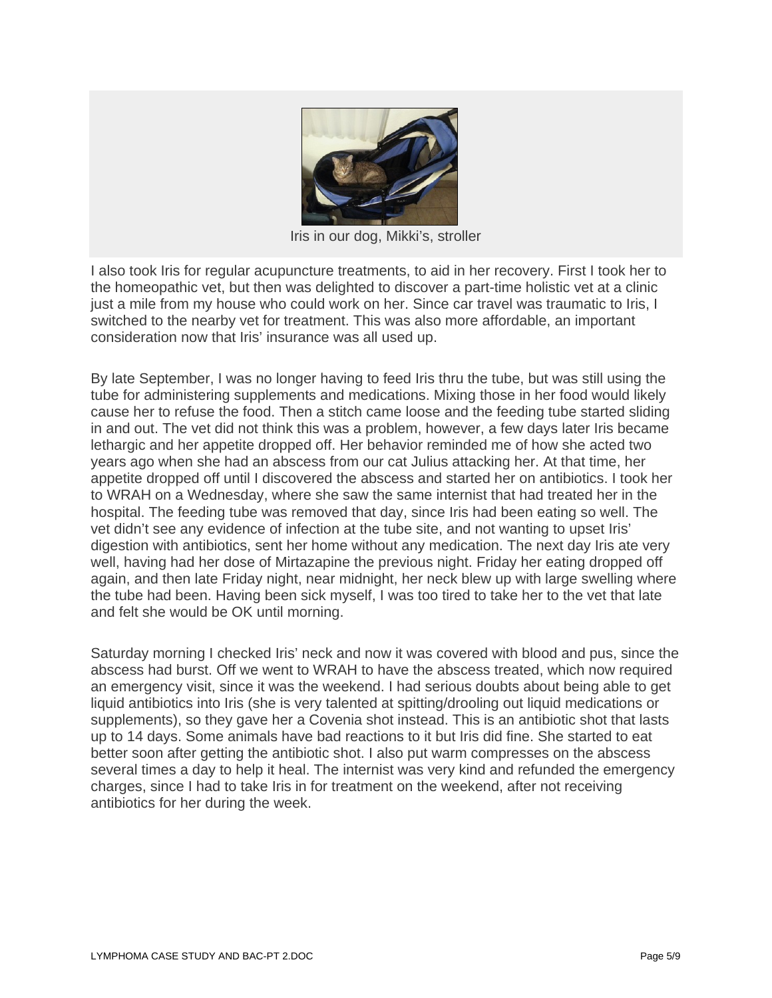

Iris in our dog, Mikki's, stroller

I also took Iris for regular acupuncture treatments, to aid in her recovery. First I took her to the homeopathic vet, but then was delighted to discover a part-time holistic vet at a clinic just a mile from my house who could work on her. Since car travel was traumatic to Iris, I switched to the nearby vet for treatment. This was also more affordable, an important consideration now that Iris' insurance was all used up.

By late September, I was no longer having to feed Iris thru the tube, but was still using the tube for administering supplements and medications. Mixing those in her food would likely cause her to refuse the food. Then a stitch came loose and the feeding tube started sliding in and out. The vet did not think this was a problem, however, a few days later Iris became lethargic and her appetite dropped off. Her behavior reminded me of how she acted two years ago when she had an abscess from our cat Julius attacking her. At that time, her appetite dropped off until I discovered the abscess and started her on antibiotics. I took her to WRAH on a Wednesday, where she saw the same internist that had treated her in the hospital. The feeding tube was removed that day, since Iris had been eating so well. The vet didn't see any evidence of infection at the tube site, and not wanting to upset Iris' digestion with antibiotics, sent her home without any medication. The next day Iris ate very well, having had her dose of Mirtazapine the previous night. Friday her eating dropped off again, and then late Friday night, near midnight, her neck blew up with large swelling where the tube had been. Having been sick myself, I was too tired to take her to the vet that late and felt she would be OK until morning.

Saturday morning I checked Iris' neck and now it was covered with blood and pus, since the abscess had burst. Off we went to WRAH to have the abscess treated, which now required an emergency visit, since it was the weekend. I had serious doubts about being able to get liquid antibiotics into Iris (she is very talented at spitting/drooling out liquid medications or supplements), so they gave her a Covenia shot instead. This is an antibiotic shot that lasts up to 14 days. Some animals have bad reactions to it but Iris did fine. She started to eat better soon after getting the antibiotic shot. I also put warm compresses on the abscess several times a day to help it heal. The internist was very kind and refunded the emergency charges, since I had to take Iris in for treatment on the weekend, after not receiving antibiotics for her during the week.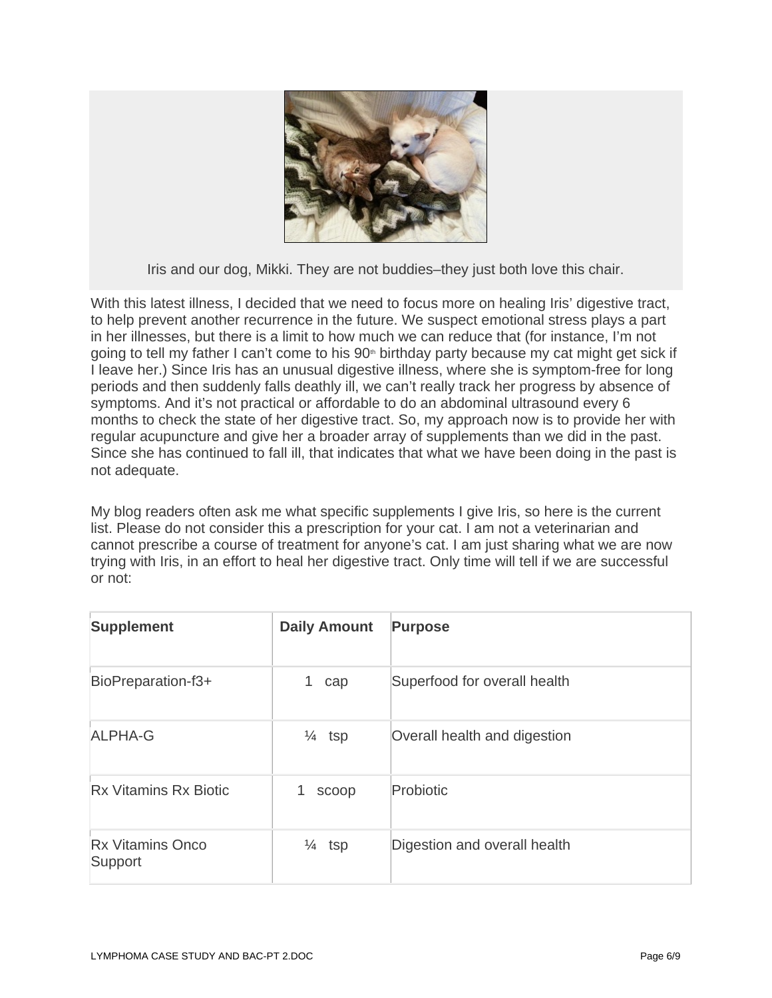

Iris and our dog, Mikki. They are not buddies–they just both love this chair.

With this latest illness, I decided that we need to focus more on healing Iris' digestive tract, to help prevent another recurrence in the future. We suspect emotional stress plays a part in her illnesses, but there is a limit to how much we can reduce that (for instance, I'm not going to tell my father I can't come to his 90<sup>th</sup> birthday party because my cat might get sick if I leave her.) Since Iris has an unusual digestive illness, where she is symptom-free for long periods and then suddenly falls deathly ill, we can't really track her progress by absence of symptoms. And it's not practical or affordable to do an abdominal ultrasound every 6 months to check the state of her digestive tract. So, my approach now is to provide her with regular acupuncture and give her a broader array of supplements than we did in the past. Since she has continued to fall ill, that indicates that what we have been doing in the past is not adequate.

My blog readers often ask me what specific supplements I give Iris, so here is the current list. Please do not consider this a prescription for your cat. I am not a veterinarian and cannot prescribe a course of treatment for anyone's cat. I am just sharing what we are now trying with Iris, in an effort to heal her digestive tract. Only time will tell if we are successful or not:

| <b>Supplement</b>                  | <b>Daily Amount</b> | <b>Purpose</b>               |
|------------------------------------|---------------------|------------------------------|
| BioPreparation-f3+                 | 1.<br>cap           | Superfood for overall health |
| ALPHA-G                            | $\frac{1}{4}$ tsp   | Overall health and digestion |
| <b>Rx Vitamins Rx Biotic</b>       | scoop               | Probiotic                    |
| <b>Rx Vitamins Onco</b><br>Support | $\frac{1}{4}$ tsp   | Digestion and overall health |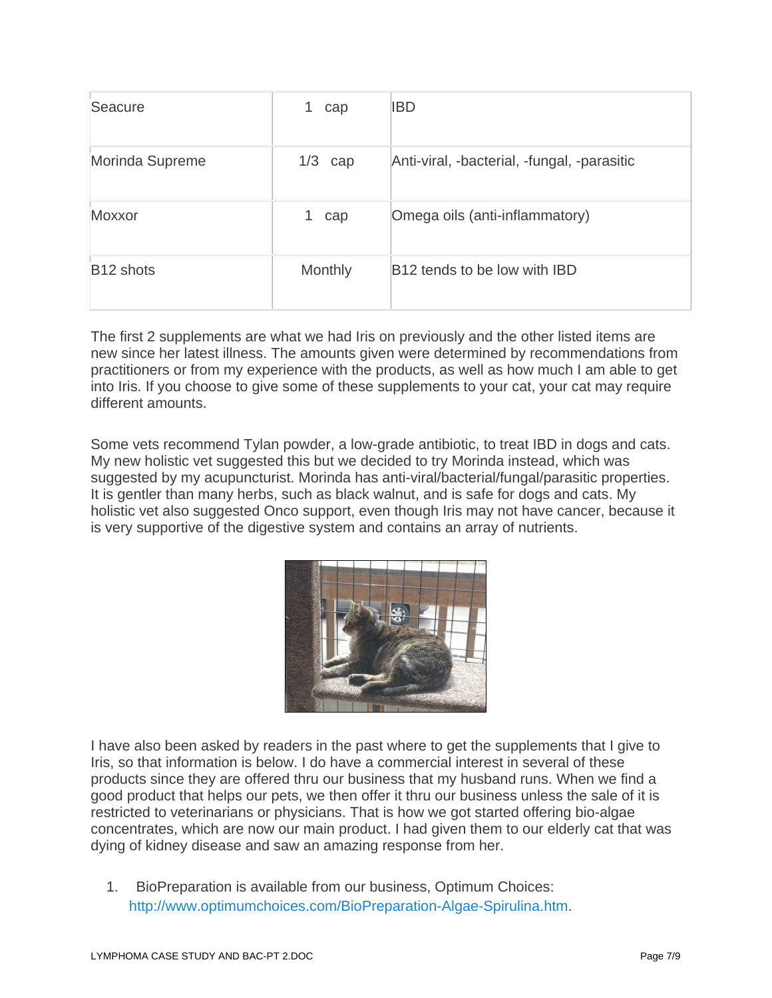| Seacure               | cap       | <b>IBD</b>                                  |
|-----------------------|-----------|---------------------------------------------|
| Morinda Supreme       | $1/3$ cap | Anti-viral, -bacterial, -fungal, -parasitic |
| Moxxor                | cap       | Omega oils (anti-inflammatory)              |
| B <sub>12</sub> shots | Monthly   | B12 tends to be low with IBD                |

The first 2 supplements are what we had Iris on previously and the other listed items are new since her latest illness. The amounts given were determined by recommendations from practitioners or from my experience with the products, as well as how much I am able to get into Iris. If you choose to give some of these supplements to your cat, your cat may require different amounts.

Some vets recommend Tylan powder, a low-grade antibiotic, to treat IBD in dogs and cats. My new holistic vet suggested this but we decided to try Morinda instead, which was suggested by my acupuncturist. Morinda has anti-viral/bacterial/fungal/parasitic properties. It is gentler than many herbs, such as black walnut, and is safe for dogs and cats. My holistic vet also suggested Onco support, even though Iris may not have cancer, because it is very supportive of the digestive system and contains an array of nutrients.



I have also been asked by readers in the past where to get the supplements that I give to Iris, so that information is below. I do have a commercial interest in several of these products since they are offered thru our business that my husband runs. When we find a good product that helps our pets, we then offer it thru our business unless the sale of it is restricted to veterinarians or physicians. That is how we got started offering bio-algae concentrates, which are now our main product. I had given them to our elderly cat that was dying of kidney disease and saw an amazing response from her.

1. BioPreparation is available from our business, Optimum Choices: http://www.optimumchoices.com/BioPreparation-Algae-Spirulina.htm.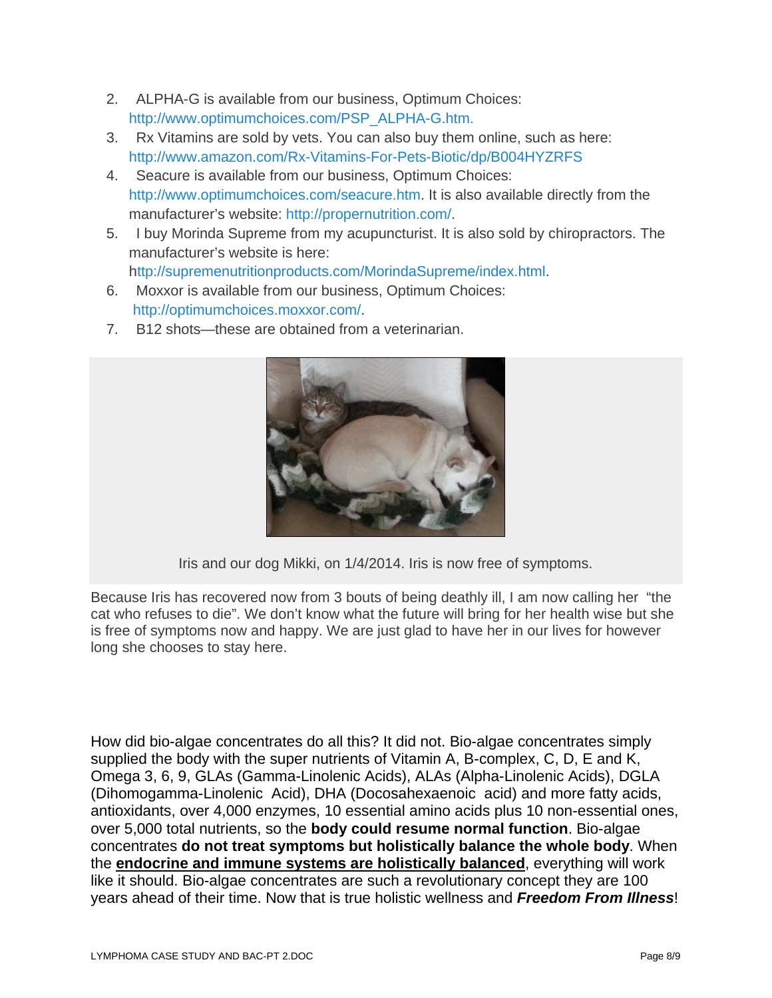- 2. ALPHA-G is available from our business, Optimum Choices: http://www.optimumchoices.com/PSP\_ALPHA-G.htm.
- 3. Rx Vitamins are sold by vets. You can also buy them online, such as here: http://www.amazon.com/Rx-Vitamins-For-Pets-Biotic/dp/B004HYZRFS
- 4. Seacure is available from our business, Optimum Choices: http://www.optimumchoices.com/seacure.htm. It is also available directly from the manufacturer's website: http://propernutrition.com/.
- 5. I buy Morinda Supreme from my acupuncturist. It is also sold by chiropractors. The manufacturer's website is here: http://supremenutritionproducts.com/MorindaSupreme/index.html.
- 6. Moxxor is available from our business, Optimum Choices: http://optimumchoices.moxxor.com/.
- 7. B12 shots—these are obtained from a veterinarian.



Iris and our dog Mikki, on 1/4/2014. Iris is now free of symptoms.

Because Iris has recovered now from 3 bouts of being deathly ill, I am now calling her "the cat who refuses to die". We don't know what the future will bring for her health wise but she is free of symptoms now and happy. We are just glad to have her in our lives for however long she chooses to stay here.

How did bio-algae concentrates do all this? It did not. Bio-algae concentrates simply supplied the body with the super nutrients of Vitamin A, B-complex, C, D, E and K, Omega 3, 6, 9, GLAs (Gamma-Linolenic Acids), ALAs (Alpha-Linolenic Acids), DGLA (Dihomogamma-Linolenic Acid), DHA (Docosahexaenoic acid) and more fatty acids, antioxidants, over 4,000 enzymes, 10 essential amino acids plus 10 non-essential ones, over 5,000 total nutrients, so the **body could resume normal function**. Bio-algae concentrates **do not treat symptoms but holistically balance the whole body**. When the **endocrine and immune systems are holistically balanced**, everything will work like it should. Bio-algae concentrates are such a revolutionary concept they are 100 years ahead of their time. Now that is true holistic wellness and *Freedom From Illness*!